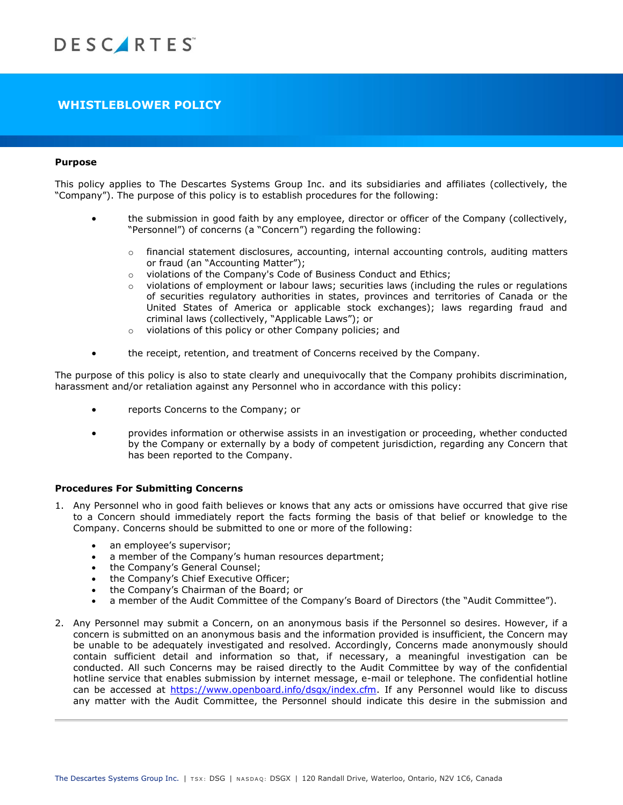# **WHISTLEBLOWER POLICY**

# **Purpose**

This policy applies to The Descartes Systems Group Inc. and its subsidiaries and affiliates (collectively, the "Company"). The purpose of this policy is to establish procedures for the following:

- the submission in good faith by any employee, director or officer of the Company (collectively, "Personnel") of concerns (a "Concern") regarding the following:
	- $\circ$  financial statement disclosures, accounting, internal accounting controls, auditing matters or fraud (an "Accounting Matter");
	- o violations of the Company's Code of Business Conduct and Ethics;
	- $\circ$  violations of employment or labour laws; securities laws (including the rules or regulations of securities regulatory authorities in states, provinces and territories of Canada or the United States of America or applicable stock exchanges); laws regarding fraud and criminal laws (collectively, "Applicable Laws"); or
	- o violations of this policy or other Company policies; and
- the receipt, retention, and treatment of Concerns received by the Company.

The purpose of this policy is also to state clearly and unequivocally that the Company prohibits discrimination, harassment and/or retaliation against any Personnel who in accordance with this policy:

- reports Concerns to the Company; or
- provides information or otherwise assists in an investigation or proceeding, whether conducted by the Company or externally by a body of competent jurisdiction, regarding any Concern that has been reported to the Company.

### **Procedures For Submitting Concerns**

- 1. Any Personnel who in good faith believes or knows that any acts or omissions have occurred that give rise to a Concern should immediately report the facts forming the basis of that belief or knowledge to the Company. Concerns should be submitted to one or more of the following:
	- an employee's supervisor;
	- a member of the Company's human resources department;
	- the Company's General Counsel;
	- the Company's Chief Executive Officer;
	- the Company's Chairman of the Board; or
	- a member of the Audit Committee of the Company's Board of Directors (the "Audit Committee").
- 2. Any Personnel may submit a Concern, on an anonymous basis if the Personnel so desires. However, if a concern is submitted on an anonymous basis and the information provided is insufficient, the Concern may be unable to be adequately investigated and resolved. Accordingly, Concerns made anonymously should contain sufficient detail and information so that, if necessary, a meaningful investigation can be conducted. All such Concerns may be raised directly to the Audit Committee by way of the confidential hotline service that enables submission by internet message, e-mail or telephone. The confidential hotline can be accessed at [https://www.openboard.info/dsgx/index.cfm.](https://www.openboard.info/dsgx/index.cfm) If any Personnel would like to discuss any matter with the Audit Committee, the Personnel should indicate this desire in the submission and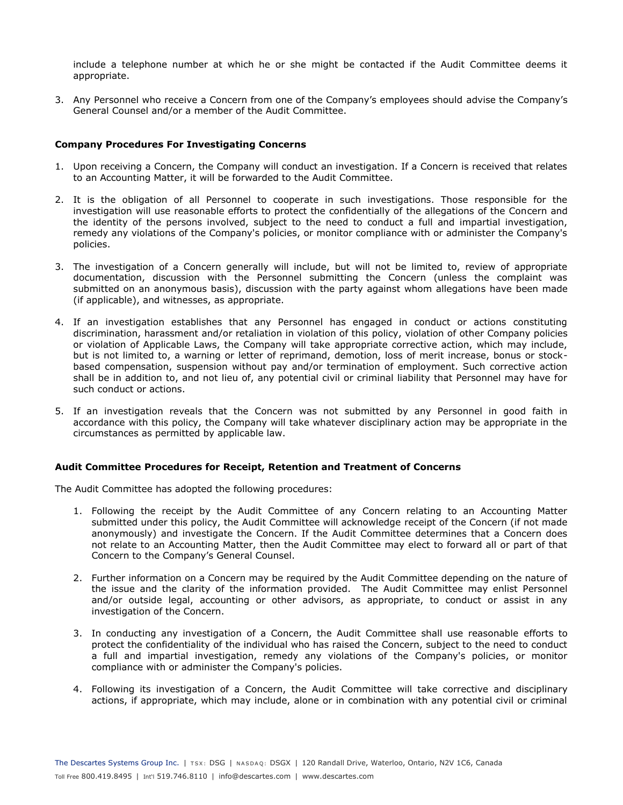include a telephone number at which he or she might be contacted if the Audit Committee deems it appropriate.

3. Any Personnel who receive a Concern from one of the Company's employees should advise the Company's General Counsel and/or a member of the Audit Committee.

# **Company Procedures For Investigating Concerns**

- 1. Upon receiving a Concern, the Company will conduct an investigation. If a Concern is received that relates to an Accounting Matter, it will be forwarded to the Audit Committee.
- 2. It is the obligation of all Personnel to cooperate in such investigations. Those responsible for the investigation will use reasonable efforts to protect the confidentially of the allegations of the Concern and the identity of the persons involved, subject to the need to conduct a full and impartial investigation, remedy any violations of the Company's policies, or monitor compliance with or administer the Company's policies.
- 3. The investigation of a Concern generally will include, but will not be limited to, review of appropriate documentation, discussion with the Personnel submitting the Concern (unless the complaint was submitted on an anonymous basis), discussion with the party against whom allegations have been made (if applicable), and witnesses, as appropriate.
- 4. If an investigation establishes that any Personnel has engaged in conduct or actions constituting discrimination, harassment and/or retaliation in violation of this policy, violation of other Company policies or violation of Applicable Laws, the Company will take appropriate corrective action, which may include, but is not limited to, a warning or letter of reprimand, demotion, loss of merit increase, bonus or stockbased compensation, suspension without pay and/or termination of employment. Such corrective action shall be in addition to, and not lieu of, any potential civil or criminal liability that Personnel may have for such conduct or actions.
- 5. If an investigation reveals that the Concern was not submitted by any Personnel in good faith in accordance with this policy, the Company will take whatever disciplinary action may be appropriate in the circumstances as permitted by applicable law.

### **Audit Committee Procedures for Receipt, Retention and Treatment of Concerns**

The Audit Committee has adopted the following procedures:

- 1. Following the receipt by the Audit Committee of any Concern relating to an Accounting Matter submitted under this policy, the Audit Committee will acknowledge receipt of the Concern (if not made anonymously) and investigate the Concern. If the Audit Committee determines that a Concern does not relate to an Accounting Matter, then the Audit Committee may elect to forward all or part of that Concern to the Company's General Counsel.
- 2. Further information on a Concern may be required by the Audit Committee depending on the nature of the issue and the clarity of the information provided. The Audit Committee may enlist Personnel and/or outside legal, accounting or other advisors, as appropriate, to conduct or assist in any investigation of the Concern.
- 3. In conducting any investigation of a Concern, the Audit Committee shall use reasonable efforts to protect the confidentiality of the individual who has raised the Concern, subject to the need to conduct a full and impartial investigation, remedy any violations of the Company's policies, or monitor compliance with or administer the Company's policies.
- 4. Following its investigation of a Concern, the Audit Committee will take corrective and disciplinary actions, if appropriate, which may include, alone or in combination with any potential civil or criminal